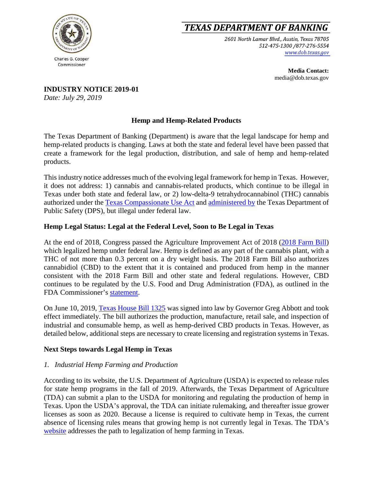

# **TEXAS DEPARTMENT OF BANKING**

2601 North Lamar Blvd., Austin, Texas 78705 512-475-1300 /877-276-5554 www.dob.texas.gov

> **Media Contact:** media@dob.texas.gov

**INDUSTRY NOTICE 2019-01**

*Date: July 29, 2019*

## **Hemp and Hemp-Related Products**

The Texas Department of Banking (Department) is aware that the legal landscape for hemp and hemp-related products is changing. Laws at both the state and federal level have been passed that create a framework for the legal production, distribution, and sale of hemp and hemp-related products.

This industry notice addresses much of the evolving legal framework for hemp in Texas. However, it does not address: 1) cannabis and cannabis-related products, which continue to be illegal in Texas under both state and federal law, or 2) low-delta-9 tetrahydrocannabinol (THC) cannabis authorized under the [Texas Compassionate Use Act](https://statutes.capitol.texas.gov/Docs/HS/htm/HS.487.htm) and [administered by](https://www.dps.texas.gov/rsd/cup/index.htm) the Texas Department of Public Safety (DPS), but illegal under federal law.

### **Hemp Legal Status: Legal at the Federal Level, Soon to Be Legal in Texas**

At the end of 2018, Congress passed the Agriculture Improvement Act of 2018 [\(2018 Farm Bill\)](https://www.agriculture.senate.gov/imo/media/doc/Agriculture%20Improvement%20Act%20of%202018.pdf) which legalized hemp under federal law. Hemp is defined as any part of the cannabis plant, with a THC of not more than 0.3 percent on a dry weight basis. The 2018 Farm Bill also authorizes cannabidiol (CBD) to the extent that it is contained and produced from hemp in the manner consistent with the 2018 Farm Bill and other state and federal regulations. However, CBD continues to be regulated by the U.S. Food and Drug Administration (FDA), as outlined in the FDA Commissioner's [statement.](https://www.fda.gov/news-events/press-announcements/statement-fda-commissioner-scott-gottlieb-md-signing-agriculture-improvement-act-and-agencys)

On June 10, 2019, [Texas House Bill 1325](https://capitol.texas.gov/BillLookup/Text.aspx?LegSess=86R&Bill=HB1325) was signed into law by Governor Greg Abbott and took effect immediately. The bill authorizes the production, manufacture, retail sale, and inspection of industrial and consumable hemp, as well as hemp-derived CBD products in Texas. However, as detailed below, additional steps are necessary to create licensing and registration systems in Texas.

#### **Next Steps towards Legal Hemp in Texas**

#### *1. Industrial Hemp Farming and Production*

According to its website, the U.S. Department of Agriculture (USDA) is expected to release rules for state hemp programs in the fall of 2019. Afterwards, the Texas Department of Agriculture (TDA) can submit a plan to the USDA for monitoring and regulating the production of hemp in Texas. Upon the USDA's approval, the TDA can initiate rulemaking, and thereafter issue grower licenses as soon as 2020. Because a license is required to cultivate hemp in Texas, the current absence of licensing rules means that growing hemp is not currently legal in Texas. The TDA's [website](https://www.texasagriculture.gov/RegulatoryPrograms/Hemp.aspx) addresses the path to legalization of hemp farming in Texas.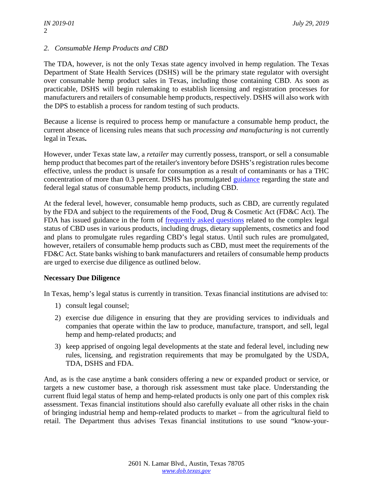#### *2. Consumable Hemp Products and CBD*

The TDA, however, is not the only Texas state agency involved in hemp regulation. The Texas Department of State Health Services (DSHS) will be the primary state regulator with oversight over consumable hemp product sales in Texas, including those containing CBD. As soon as practicable, DSHS will begin rulemaking to establish licensing and registration processes for manufacturers and retailers of consumable hemp products, respectively. DSHS will also work with the DPS to establish a process for random testing of such products.

Because a license is required to process hemp or manufacture a consumable hemp product, the current absence of licensing rules means that such *processing and manufacturing* is not currently legal in Texas**.**

However, under Texas state law, a *retailer* may currently possess, transport, or sell a consumable hemp product that becomes part of the retailer's inventory before DSHS's registration rules become effective, unless the product is unsafe for consumption as a result of contaminants or has a THC concentration of more than 0.3 percent. DSHS has promulgated [guidance](https://www.dshs.texas.gov/consumerprotection/hemp-program/default.aspx) regarding the state and federal legal status of consumable hemp products, including CBD.

At the federal level, however, consumable hemp products, such as CBD, are currently regulated by the FDA and subject to the requirements of the Food, Drug & Cosmetic Act (FD&C Act). The FDA has issued guidance in the form of [frequently asked questions](https://www.fda.gov/news-events/public-health-focus/fda-regulation-cannabis-and-cannabis-derived-products-questions-and-answers) related to the complex legal status of CBD uses in various products, including drugs, dietary supplements, cosmetics and food and plans to promulgate rules regarding CBD's legal status. Until such rules are promulgated, however, retailers of consumable hemp products such as CBD, must meet the requirements of the FD&C Act. State banks wishing to bank manufacturers and retailers of consumable hemp products are urged to exercise due diligence as outlined below.

#### **Necessary Due Diligence**

In Texas, hemp's legal status is currently in transition. Texas financial institutions are advised to:

- 1) consult legal counsel;
- 2) exercise due diligence in ensuring that they are providing services to individuals and companies that operate within the law to produce, manufacture, transport, and sell, legal hemp and hemp-related products; and
- 3) keep apprised of ongoing legal developments at the state and federal level, including new rules, licensing, and registration requirements that may be promulgated by the USDA, TDA, DSHS and FDA.

And, as is the case anytime a bank considers offering a new or expanded product or service, or targets a new customer base, a thorough risk assessment must take place. Understanding the current fluid legal status of hemp and hemp-related products is only one part of this complex risk assessment. Texas financial institutions should also carefully evaluate all other risks in the chain of bringing industrial hemp and hemp-related products to market – from the agricultural field to retail. The Department thus advises Texas financial institutions to use sound "know-your